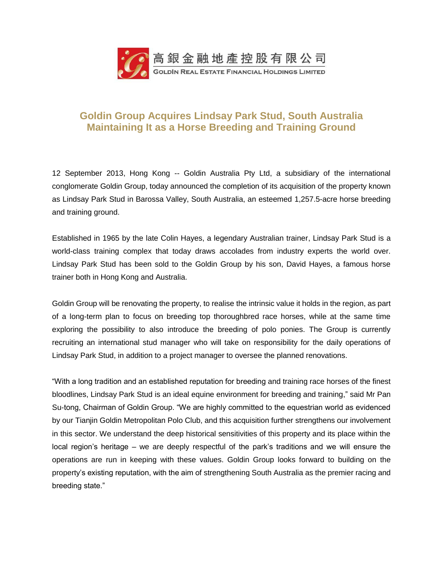

# **Goldin Group Acquires Lindsay Park Stud, South Australia Maintaining It as a Horse Breeding and Training Ground**

12 September 2013, Hong Kong -- Goldin Australia Pty Ltd, a subsidiary of the international conglomerate Goldin Group, today announced the completion of its acquisition of the property known as Lindsay Park Stud in Barossa Valley, South Australia, an esteemed 1,257.5-acre horse breeding and training ground.

Established in 1965 by the late Colin Hayes, a legendary Australian trainer, Lindsay Park Stud is a world-class training complex that today draws accolades from industry experts the world over. Lindsay Park Stud has been sold to the Goldin Group by his son, David Hayes, a famous horse trainer both in Hong Kong and Australia.

Goldin Group will be renovating the property, to realise the intrinsic value it holds in the region, as part of a long-term plan to focus on breeding top thoroughbred race horses, while at the same time exploring the possibility to also introduce the breeding of polo ponies. The Group is currently recruiting an international stud manager who will take on responsibility for the daily operations of Lindsay Park Stud, in addition to a project manager to oversee the planned renovations.

"With a long tradition and an established reputation for breeding and training race horses of the finest bloodlines, Lindsay Park Stud is an ideal equine environment for breeding and training," said Mr Pan Su-tong, Chairman of Goldin Group. "We are highly committed to the equestrian world as evidenced by our Tianjin Goldin Metropolitan Polo Club, and this acquisition further strengthens our involvement in this sector. We understand the deep historical sensitivities of this property and its place within the local region's heritage – we are deeply respectful of the park's traditions and we will ensure the operations are run in keeping with these values. Goldin Group looks forward to building on the property's existing reputation, with the aim of strengthening South Australia as the premier racing and breeding state."